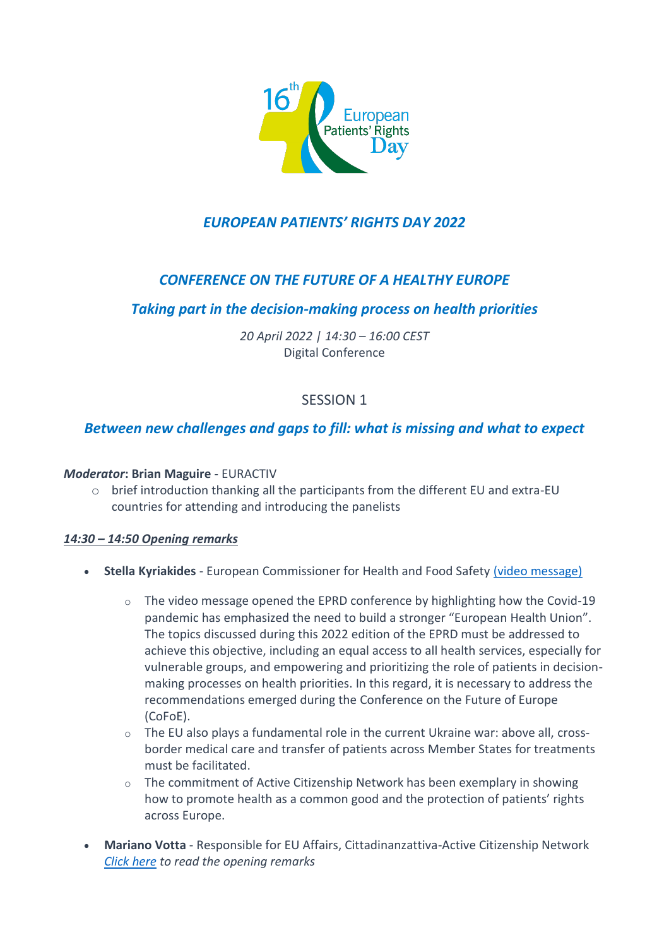

# *EUROPEAN PATIENTS' RIGHTS DAY 2022*

## *CONFERENCE ON THE FUTURE OF A HEALTHY EUROPE*

### *Taking part in the decision-making process on health priorities*

*20 April 2022 | 14:30 – 16:00 CEST* Digital Conference

### SESSION 1

### *Between new challenges and gaps to fill: what is missing and what to expect*

#### *Moderator***: Brian Maguire** - EURACTIV

 $\circ$  brief introduction thanking all the participants from the different EU and extra-EU countries for attending and introducing the panelists

#### *14:30 – 14:50 Opening remarks*

- **Stella Kyriakides** European Commissioner for Health and Food Safety [\(video message\)](https://www.youtube.com/watch?v=BqI8JMenSkE&t=1s)
	- $\circ$  The video message opened the EPRD conference by highlighting how the Covid-19 pandemic has emphasized the need to build a stronger "European Health Union". The topics discussed during this 2022 edition of the EPRD must be addressed to achieve this objective, including an equal access to all health services, especially for vulnerable groups, and empowering and prioritizing the role of patients in decisionmaking processes on health priorities. In this regard, it is necessary to address the recommendations emerged during the Conference on the Future of Europe (CoFoE).
	- $\circ$  The EU also plays a fundamental role in the current Ukraine war: above all, crossborder medical care and transfer of patients across Member States for treatments must be facilitated.
	- $\circ$  The commitment of Active Citizenship Network has been exemplary in showing how to promote health as a common good and the protection of patients' rights across Europe.
- **Mariano Votta** Responsible for EU Affairs, Cittadinanzattiva-Active Citizenship Network *[Click here](http://www.activecitizenship.net/files/patients_rights/european-patients-rights-day-2022-programme/2022_04_20_opening_remarks_Votta.pdf) to read the opening remarks*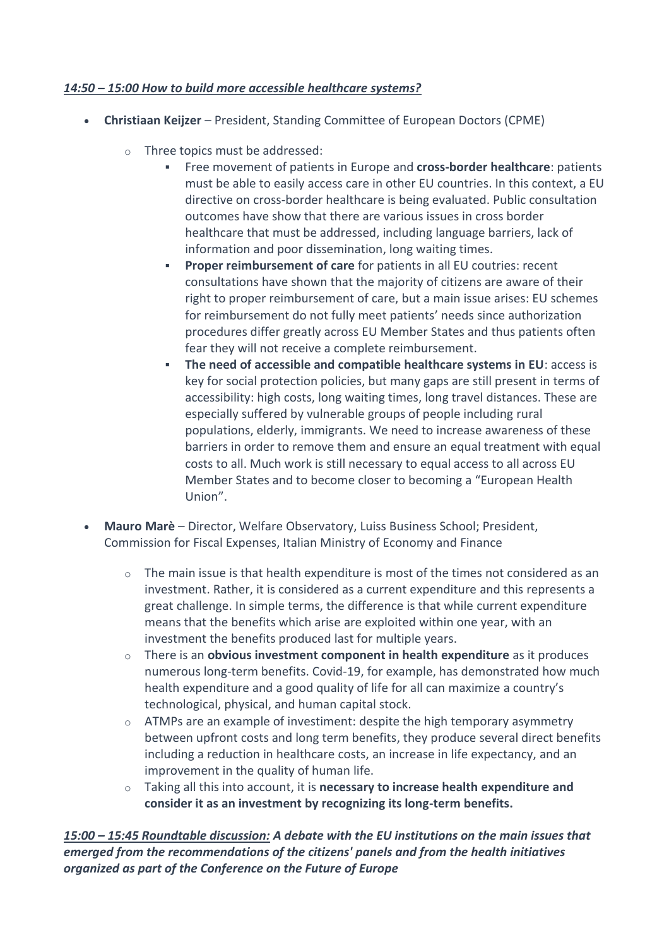#### *14:50 – 15:00 How to build more accessible healthcare systems?*

- **Christiaan Keijzer**  President, Standing Committee of European Doctors (CPME)
	- o Three topics must be addressed:
		- Free movement of patients in Europe and **cross-border healthcare**: patients must be able to easily access care in other EU countries. In this context, a EU directive on cross-border healthcare is being evaluated. Public consultation outcomes have show that there are various issues in cross border healthcare that must be addressed, including language barriers, lack of information and poor dissemination, long waiting times.
		- **Proper reimbursement of care** for patients in all EU coutries: recent consultations have shown that the majority of citizens are aware of their right to proper reimbursement of care, but a main issue arises: EU schemes for reimbursement do not fully meet patients' needs since authorization procedures differ greatly across EU Member States and thus patients often fear they will not receive a complete reimbursement.
		- **The need of accessible and compatible healthcare systems in EU: access is** key for social protection policies, but many gaps are still present in terms of accessibility: high costs, long waiting times, long travel distances. These are especially suffered by vulnerable groups of people including rural populations, elderly, immigrants. We need to increase awareness of these barriers in order to remove them and ensure an equal treatment with equal costs to all. Much work is still necessary to equal access to all across EU Member States and to become closer to becoming a "European Health Union".
- **Mauro Marè**  Director, Welfare Observatory, Luiss Business School; President, Commission for Fiscal Expenses, Italian Ministry of Economy and Finance
	- $\circ$  The main issue is that health expenditure is most of the times not considered as an investment. Rather, it is considered as a current expenditure and this represents a great challenge. In simple terms, the difference is that while current expenditure means that the benefits which arise are exploited within one year, with an investment the benefits produced last for multiple years.
	- o There is an **obvious investment component in health expenditure** as it produces numerous long-term benefits. Covid-19, for example, has demonstrated how much health expenditure and a good quality of life for all can maximize a country's technological, physical, and human capital stock.
	- $\circ$  ATMPs are an example of investiment: despite the high temporary asymmetry between upfront costs and long term benefits, they produce several direct benefits including a reduction in healthcare costs, an increase in life expectancy, and an improvement in the quality of human life.
	- o Taking all this into account, it is **necessary to increase health expenditure and consider it as an investment by recognizing its long-term benefits.**

*15:00 – 15:45 Roundtable discussion: A debate with the EU institutions on the main issues that emerged from the recommendations of the citizens' panels and from the health initiatives organized as part of the Conference on the Future of Europe*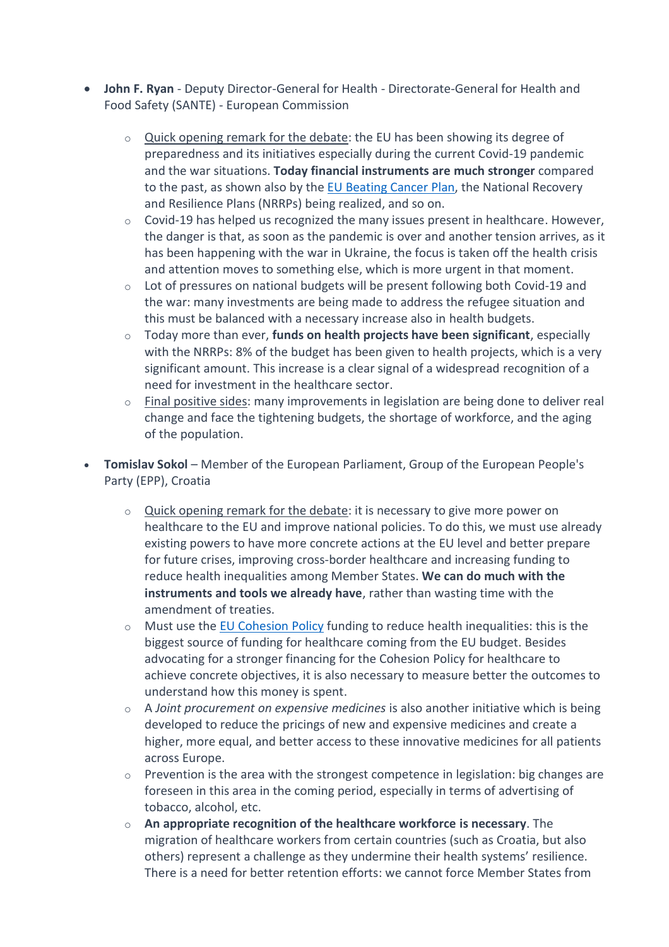- **John F. Ryan**  Deputy Director-General for Health Directorate-General for Health and Food Safety (SANTE) - European Commission
	- o Quick opening remark for the debate: the EU has been showing its degree of preparedness and its initiatives especially during the current Covid-19 pandemic and the war situations. **Today financial instruments are much stronger** compared to the past, as shown also by the EU [Beating Cancer Plan,](https://ec.europa.eu/info/strategy/priorities-2019-2024/promoting-our-european-way-life/european-health-union/cancer-plan-europe_en) the National Recovery and Resilience Plans (NRRPs) being realized, and so on.
	- $\circ$  Covid-19 has helped us recognized the many issues present in healthcare. However, the danger is that, as soon as the pandemic is over and another tension arrives, as it has been happening with the war in Ukraine, the focus is taken off the health crisis and attention moves to something else, which is more urgent in that moment.
	- $\circ$  Lot of pressures on national budgets will be present following both Covid-19 and the war: many investments are being made to address the refugee situation and this must be balanced with a necessary increase also in health budgets.
	- o Today more than ever, **funds on health projects have been significant**, especially with the NRRPs: 8% of the budget has been given to health projects, which is a very significant amount. This increase is a clear signal of a widespread recognition of a need for investment in the healthcare sector.
	- $\circ$  Final positive sides: many improvements in legislation are being done to deliver real change and face the tightening budgets, the shortage of workforce, and the aging of the population.
- **Tomislav Sokol**  Member of the European Parliament, Group of the European People's Party (EPP), Croatia
	- $\circ$  Quick opening remark for the debate: it is necessary to give more power on healthcare to the EU and improve national policies. To do this, we must use already existing powers to have more concrete actions at the EU level and better prepare for future crises, improving cross-border healthcare and increasing funding to reduce health inequalities among Member States. **We can do much with the instruments and tools we already have**, rather than wasting time with the amendment of treaties.
	- $\circ$  Must use the [EU Cohesion Policy](https://ec.europa.eu/regional_policy/en/2021_2027/) funding to reduce health inequalities: this is the biggest source of funding for healthcare coming from the EU budget. Besides advocating for a stronger financing for the Cohesion Policy for healthcare to achieve concrete objectives, it is also necessary to measure better the outcomes to understand how this money is spent.
	- o A *Joint procurement on expensive medicines* is also another initiative which is being developed to reduce the pricings of new and expensive medicines and create a higher, more equal, and better access to these innovative medicines for all patients across Europe.
	- $\circ$  Prevention is the area with the strongest competence in legislation: big changes are foreseen in this area in the coming period, especially in terms of advertising of tobacco, alcohol, etc.
	- o **An appropriate recognition of the healthcare workforce is necessary**. The migration of healthcare workers from certain countries (such as Croatia, but also others) represent a challenge as they undermine their health systems' resilience. There is a need for better retention efforts: we cannot force Member States from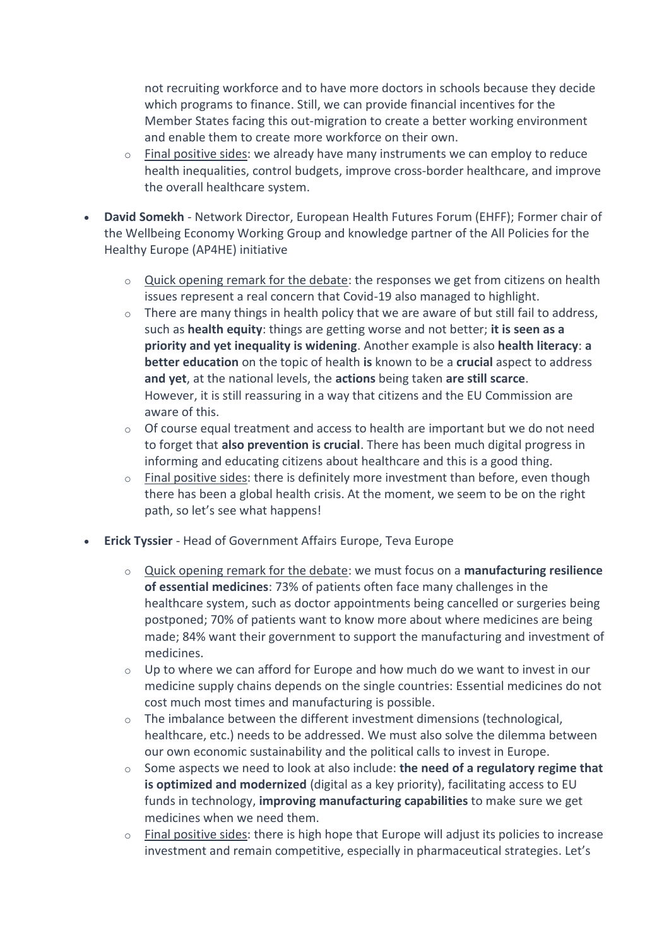not recruiting workforce and to have more doctors in schools because they decide which programs to finance. Still, we can provide financial incentives for the Member States facing this out-migration to create a better working environment and enable them to create more workforce on their own.

- $\circ$  Final positive sides: we already have many instruments we can employ to reduce health inequalities, control budgets, improve cross-border healthcare, and improve the overall healthcare system.
- **David Somekh**  Network Director, European Health Futures Forum (EHFF); Former chair of the Wellbeing Economy Working Group and knowledge partner of the All Policies for the Healthy Europe (AP4HE) initiative
	- $\circ$  Quick opening remark for the debate: the responses we get from citizens on health issues represent a real concern that Covid-19 also managed to highlight.
	- o There are many things in health policy that we are aware of but still fail to address, such as **health equity**: things are getting worse and not better; **it is seen as a priority and yet inequality is widening**. Another example is also **health literacy**: **a better education** on the topic of health **is** known to be a **crucial** aspect to address **and yet**, at the national levels, the **actions** being taken **are still scarce**. However, it is still reassuring in a way that citizens and the EU Commission are aware of this.
	- $\circ$  Of course equal treatment and access to health are important but we do not need to forget that **also prevention is crucial**. There has been much digital progress in informing and educating citizens about healthcare and this is a good thing.
	- $\circ$  Final positive sides: there is definitely more investment than before, even though there has been a global health crisis. At the moment, we seem to be on the right path, so let's see what happens!
- **Erick Tyssier**  Head of Government Affairs Europe, Teva Europe
	- o Quick opening remark for the debate: we must focus on a **manufacturing resilience of essential medicines**: 73% of patients often face many challenges in the healthcare system, such as doctor appointments being cancelled or surgeries being postponed; 70% of patients want to know more about where medicines are being made; 84% want their government to support the manufacturing and investment of medicines.
	- o Up to where we can afford for Europe and how much do we want to invest in our medicine supply chains depends on the single countries: Essential medicines do not cost much most times and manufacturing is possible.
	- o The imbalance between the different investment dimensions (technological, healthcare, etc.) needs to be addressed. We must also solve the dilemma between our own economic sustainability and the political calls to invest in Europe.
	- o Some aspects we need to look at also include: **the need of a regulatory regime that is optimized and modernized** (digital as a key priority), facilitating access to EU funds in technology, **improving manufacturing capabilities** to make sure we get medicines when we need them.
	- o Final positive sides: there is high hope that Europe will adjust its policies to increase investment and remain competitive, especially in pharmaceutical strategies. Let's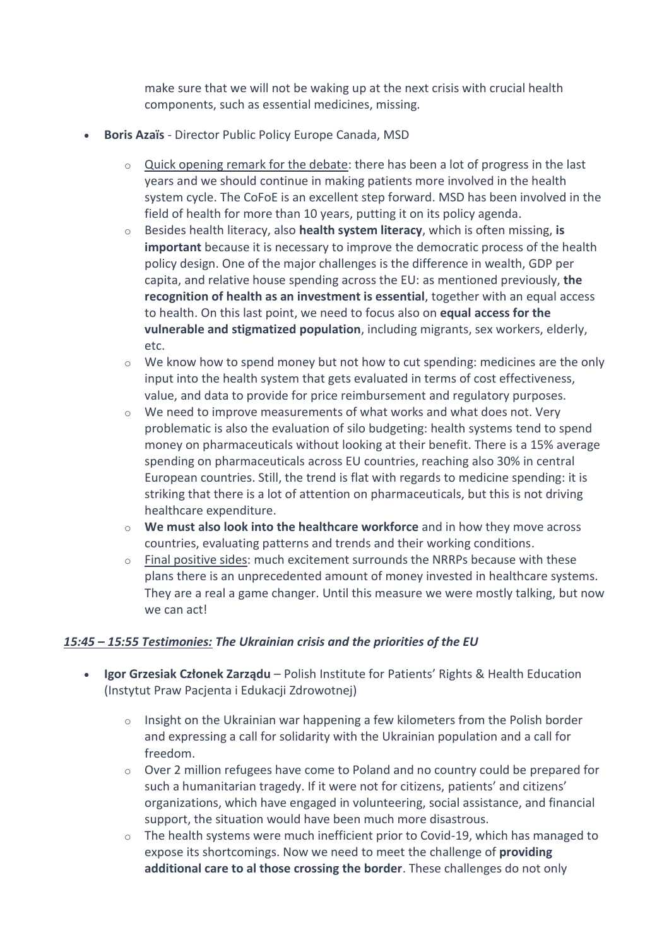make sure that we will not be waking up at the next crisis with crucial health components, such as essential medicines, missing.

- **Boris Azaïs** Director Public Policy Europe Canada, MSD
	- $\circ$  Quick opening remark for the debate: there has been a lot of progress in the last years and we should continue in making patients more involved in the health system cycle. The CoFoE is an excellent step forward. MSD has been involved in the field of health for more than 10 years, putting it on its policy agenda.
	- o Besides health literacy, also **health system literacy**, which is often missing, **is important** because it is necessary to improve the democratic process of the health policy design. One of the major challenges is the difference in wealth, GDP per capita, and relative house spending across the EU: as mentioned previously, **the recognition of health as an investment is essential**, together with an equal access to health. On this last point, we need to focus also on **equal access for the vulnerable and stigmatized population**, including migrants, sex workers, elderly, etc.
	- $\circ$  We know how to spend money but not how to cut spending: medicines are the only input into the health system that gets evaluated in terms of cost effectiveness, value, and data to provide for price reimbursement and regulatory purposes.
	- o We need to improve measurements of what works and what does not. Very problematic is also the evaluation of silo budgeting: health systems tend to spend money on pharmaceuticals without looking at their benefit. There is a 15% average spending on pharmaceuticals across EU countries, reaching also 30% in central European countries. Still, the trend is flat with regards to medicine spending: it is striking that there is a lot of attention on pharmaceuticals, but this is not driving healthcare expenditure.
	- o **We must also look into the healthcare workforce** and in how they move across countries, evaluating patterns and trends and their working conditions.
	- $\circ$  Final positive sides: much excitement surrounds the NRRPs because with these plans there is an unprecedented amount of money invested in healthcare systems. They are a real a game changer. Until this measure we were mostly talking, but now we can act!

#### *15:45 – 15:55 Testimonies: The Ukrainian crisis and the priorities of the EU*

- **Igor Grzesiak Członek Zarządu**  Polish Institute for Patients' Rights & Health Education (Instytut Praw Pacjenta i Edukacji Zdrowotnej)
	- $\circ$  Insight on the Ukrainian war happening a few kilometers from the Polish border and expressing a call for solidarity with the Ukrainian population and a call for freedom.
	- $\circ$  Over 2 million refugees have come to Poland and no country could be prepared for such a humanitarian tragedy. If it were not for citizens, patients' and citizens' organizations, which have engaged in volunteering, social assistance, and financial support, the situation would have been much more disastrous.
	- $\circ$  The health systems were much inefficient prior to Covid-19, which has managed to expose its shortcomings. Now we need to meet the challenge of **providing additional care to al those crossing the border**. These challenges do not only